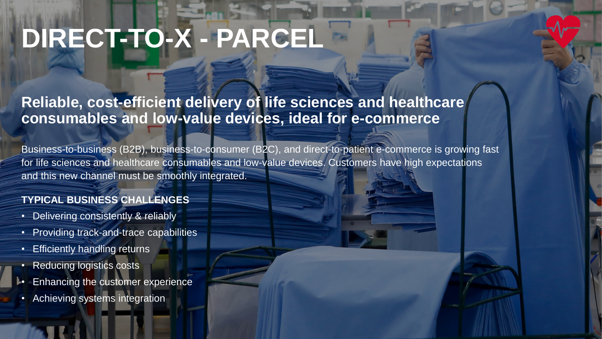# **DIRECT-TO-X - PARCEL**

## **Reliable, cost-efficient delivery of life sciences and healthcare consumables and low-value devices, ideal for e-commerce**

Business-to-business (B2B), business-to-consumer (B2C), and direct-to-patient e-commerce is growing fast for life sciences and healthcare consumables and low-value devices. Customers have high expectations and this new channel must be smoothly integrated.

### **TYPICAL BUSINESS CHALLENGES**

- Delivering consistently & reliably
- Providing track-and-trace capabilities
- Efficiently handling returns
- Reducing logistics costs
- **Enhancing the customer experience**
- Achieving systems integration